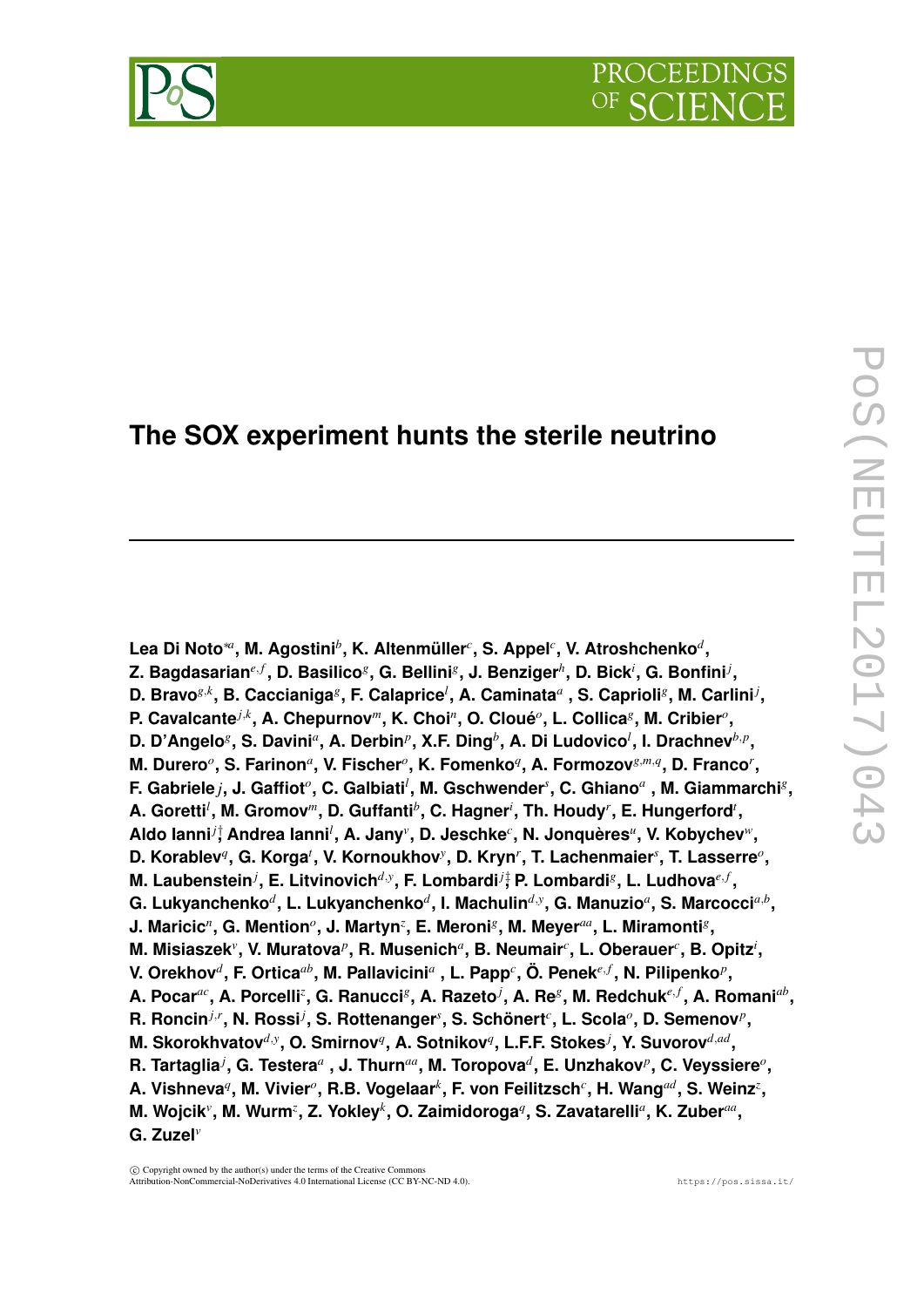# **The SOX experiment hunts the sterile neutrino**

**Lea Di Noto**∗*<sup>a</sup>* **, M. Agostini***<sup>b</sup>* **, K. Altenmüller***<sup>c</sup>* **, S. Appel***<sup>c</sup>* **, V. Atroshchenko***<sup>d</sup>* **,**  $\mathbf{Z}.$  Bagdasarian $^{e,f}$ , D. Basilico $^g$ , G. Bellini $^g$ , J. Benziger $^h$ , D. Bick $^i$ , G. Bonfini $^j$ , **D. Bravo***g*,*<sup>k</sup>* **, B. Caccianiga***<sup>g</sup>* **, F. Calaprice***<sup>l</sup>* **, A. Caminata***<sup>a</sup>* **, S. Caprioli***<sup>g</sup>* **, M. Carlini***<sup>j</sup>* **, P. Cavalcante***j*,*<sup>k</sup>* **, A. Chepurnov***m***, K. Choi***<sup>n</sup>* **, O. Cloué***<sup>o</sup>* **, L. Collica***<sup>g</sup>* **, M. Cribier***<sup>o</sup>* **,** D. D'Angelo $^g$ , S. Davini $^a$ , A. Derbin $^p$ , X.F. Ding $^b$ , A. Di Ludovico $^l$ , I. Drachnev $^{b,p},$ **M. Durero<sup>o</sup>, S. Farinon<sup>a</sup>, V. Fischer<sup>o</sup>, K. Fomenko<sup>q</sup>, A. Formozov** ${}^{g,m,q}$ **, D. Franco<sup>r</sup>,**  $F$ . Gabriele *j*, J. Gaffiot $^o$ , C. Galbiati<sup>*i*</sup>, M. Gschwender<sup>s</sup>, C. Ghiano<sup>a</sup> , M. Giammarchi<sup>g</sup>, **A. Goretti***<sup>l</sup>* **, M. Gromov***m***, D. Guffanti***<sup>b</sup>* **, C. Hagner***<sup>i</sup>* **, Th. Houdy***<sup>r</sup>* **, E. Hungerford***<sup>t</sup>* **, Aldo Ianni***j*† **, Andrea Ianni***<sup>l</sup>* **, A. Jany***<sup>v</sup>* **, D. Jeschke***<sup>c</sup>* **, N. Jonquères***<sup>u</sup>* **, V. Kobychev***w***, D. Korablev***<sup>q</sup>* **, G. Korga***<sup>t</sup>* **, V. Kornoukhov***<sup>y</sup>* **, D. Kryn***<sup>r</sup>* **, T. Lachenmaier***<sup>s</sup>* **, T. Lasserre***<sup>o</sup>* **, M. Laubenstein***<sup>j</sup>* **, E. Litvinovich***d*,*<sup>y</sup>* **, F. Lombardi***j*‡ **, P. Lombardi***<sup>g</sup>* **, L. Ludhova***e*, *<sup>f</sup>* **,**  $\bold{G}.$  Lukyanchenko $^d$ , L. Lukyanchenko $^d,$  I. Machulin $^{d,y},$  G. Manuzio $^a,$  S. Marcocci $^{a,b},$ **J. Maricic<sup>n</sup>, G. Mention<sup>o</sup>, J. Martyn<sup>z</sup>, E. Meroni<sup>g</sup>, M. Meyer<sup>aa</sup>, L. Miramonti<sup>g</sup>, M. Misiaszek<sup>,</sup> V. Muratova<sup>,</sup> R. Musenich<sup>a</sup>, B. Neumair<sup>c</sup>, L. Oberauer<sup>c</sup>, B. Opitz<sup>i</sup>, V. Orekhov***<sup>d</sup>* **, F. Ortica***ab***, M. Pallavicini***<sup>a</sup>* **, L. Papp***<sup>c</sup>* **, Ö. Penek***e*, *<sup>f</sup>* **, N. Pilipenko***<sup>p</sup>* **, A. Pocar***ac***, A. Porcelli***<sup>z</sup>* **, G. Ranucci***<sup>g</sup>* **, A. Razeto***<sup>j</sup>* **, A. Re***<sup>g</sup>* **, M. Redchuk***e*, *<sup>f</sup>* **, A. Romani***ab* **, R. Roncin***j*,*<sup>r</sup>* **, N. Rossi***<sup>j</sup>* **, S. Rottenanger***<sup>s</sup>* **, S. Schönert***<sup>c</sup>* **, L. Scola***<sup>o</sup>* **, D. Semenov***<sup>p</sup>* **, M. Skorokhvatov***d*,*<sup>y</sup>* **, O. Smirnov***<sup>q</sup>* **, A. Sotnikov***<sup>q</sup>* **, L.F.F. Stokes***<sup>j</sup>* **, Y. Suvorov***d*,*ad* **, R. Tartaglia***<sup>j</sup>* **, G. Testera***<sup>a</sup>* **, J. Thurn***aa***, M. Toropova***<sup>d</sup>* **, E. Unzhakov***<sup>p</sup>* **, C. Veyssiere***<sup>o</sup>* **, A. Vishneva***<sup>q</sup>* **, M. Vivier***<sup>o</sup>* **, R.B. Vogelaar***<sup>k</sup>* **, F. von Feilitzsch***<sup>c</sup>* **, H. Wang***ad***, S. Weinz***<sup>z</sup>* **, M. Wojcik***<sup>v</sup>* **, M. Wurm***<sup>z</sup>* **, Z. Yokley***<sup>k</sup>* **, O. Zaimidoroga***<sup>q</sup>* **, S. Zavatarelli***<sup>a</sup>* **, K. Zuber***aa* **, G. Zuzel***<sup>v</sup>*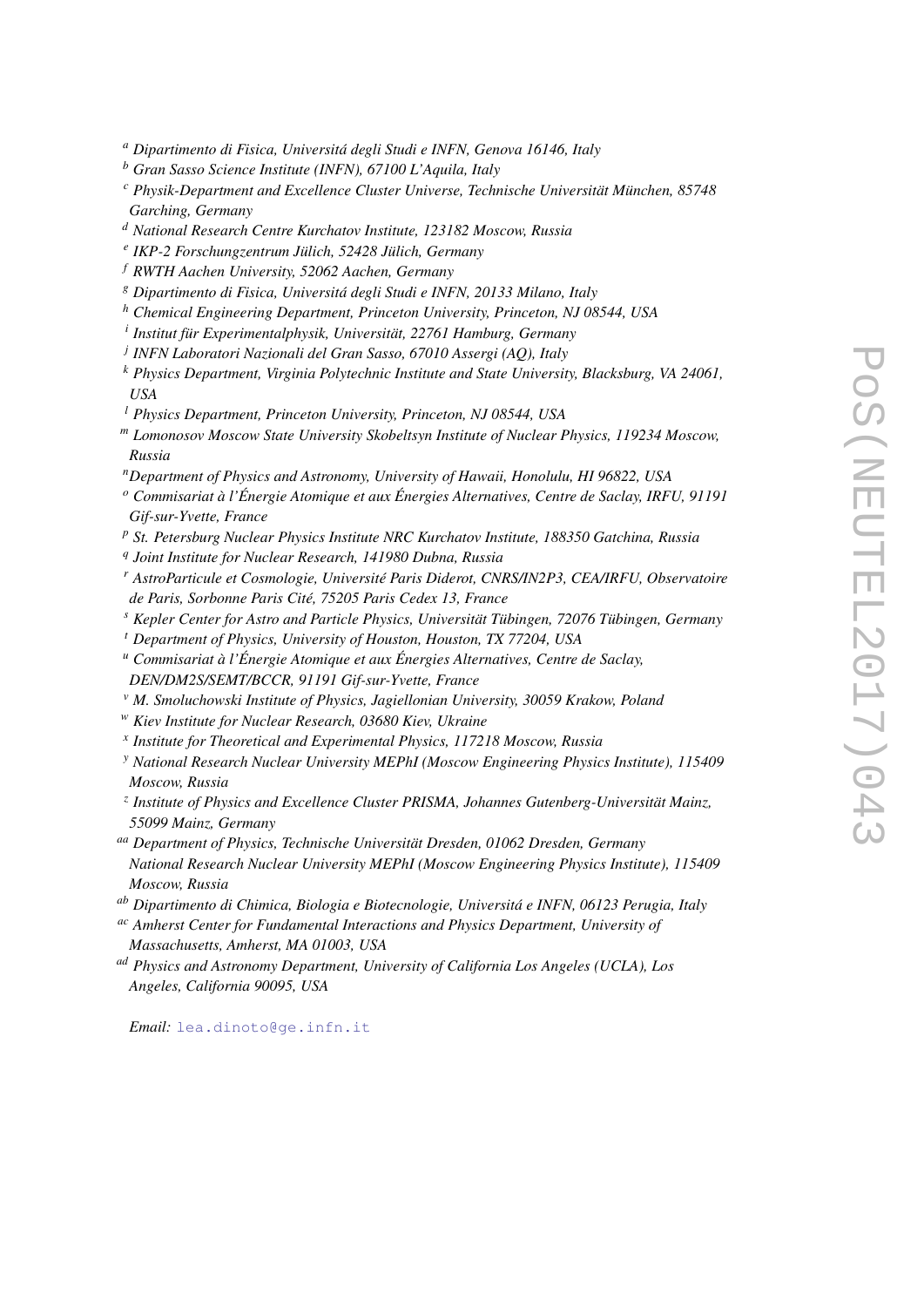- *<sup>a</sup> Dipartimento di Fisica, Universitá degli Studi e INFN, Genova 16146, Italy*
- *<sup>b</sup> Gran Sasso Science Institute (INFN), 67100 L'Aquila, Italy*
- *<sup>c</sup> Physik-Department and Excellence Cluster Universe, Technische Universität München, 85748 Garching, Germany*
- *<sup>d</sup> National Research Centre Kurchatov Institute, 123182 Moscow, Russia*
- *e IKP-2 Forschungzentrum Jülich, 52428 Jülich, Germany*
- *<sup>f</sup> RWTH Aachen University, 52062 Aachen, Germany*
- *<sup>g</sup> Dipartimento di Fisica, Universitá degli Studi e INFN, 20133 Milano, Italy*
- *<sup>h</sup> Chemical Engineering Department, Princeton University, Princeton, NJ 08544, USA*
- *i Institut für Experimentalphysik, Universität, 22761 Hamburg, Germany*
- *j INFN Laboratori Nazionali del Gran Sasso, 67010 Assergi (AQ), Italy*
- *<sup>k</sup> Physics Department, Virginia Polytechnic Institute and State University, Blacksburg, VA 24061, USA*
- *<sup>l</sup> Physics Department, Princeton University, Princeton, NJ 08544, USA*
- *<sup>m</sup> Lomonosov Moscow State University Skobeltsyn Institute of Nuclear Physics, 119234 Moscow, Russia*
- *<sup>n</sup>Department of Physics and Astronomy, University of Hawaii, Honolulu, HI 96822, USA*
- *<sup>o</sup> Commisariat à l'Énergie Atomique et aux Énergies Alternatives, Centre de Saclay, IRFU, 91191 Gif-sur-Yvette, France*
- *<sup>p</sup> St. Petersburg Nuclear Physics Institute NRC Kurchatov Institute, 188350 Gatchina, Russia*
- *q Joint Institute for Nuclear Research, 141980 Dubna, Russia*
- *<sup>r</sup> AstroParticule et Cosmologie, Université Paris Diderot, CNRS/IN2P3, CEA/IRFU, Observatoire de Paris, Sorbonne Paris Cité, 75205 Paris Cedex 13, France*
- *<sup>s</sup> Kepler Center for Astro and Particle Physics, Universität Tübingen, 72076 Tübingen, Germany*
- *<sup>t</sup> Department of Physics, University of Houston, Houston, TX 77204, USA*
- *<sup>u</sup> Commisariat à l'Énergie Atomique et aux Énergies Alternatives, Centre de Saclay, DEN/DM2S/SEMT/BCCR, 91191 Gif-sur-Yvette, France*
- *<sup>v</sup> M. Smoluchowski Institute of Physics, Jagiellonian University, 30059 Krakow, Poland*
- *<sup>w</sup> Kiev Institute for Nuclear Research, 03680 Kiev, Ukraine*
- *x Institute for Theoretical and Experimental Physics, 117218 Moscow, Russia*
- *<sup>y</sup> National Research Nuclear University MEPhI (Moscow Engineering Physics Institute), 115409 Moscow, Russia*
- *z Institute of Physics and Excellence Cluster PRISMA, Johannes Gutenberg-Universität Mainz, 55099 Mainz, Germany*
- *aa Department of Physics, Technische Universität Dresden, 01062 Dresden, Germany National Research Nuclear University MEPhI (Moscow Engineering Physics Institute), 115409 Moscow, Russia*
- *ab Dipartimento di Chimica, Biologia e Biotecnologie, Universitá e INFN, 06123 Perugia, Italy*
- *ac Amherst Center for Fundamental Interactions and Physics Department, University of Massachusetts, Amherst, MA 01003, USA*
- *ad Physics and Astronomy Department, University of California Los Angeles (UCLA), Los Angeles, California 90095, USA*

*Email:* [lea.dinoto@ge.infn.it](mailto:lea.dinoto@ge.infn.it)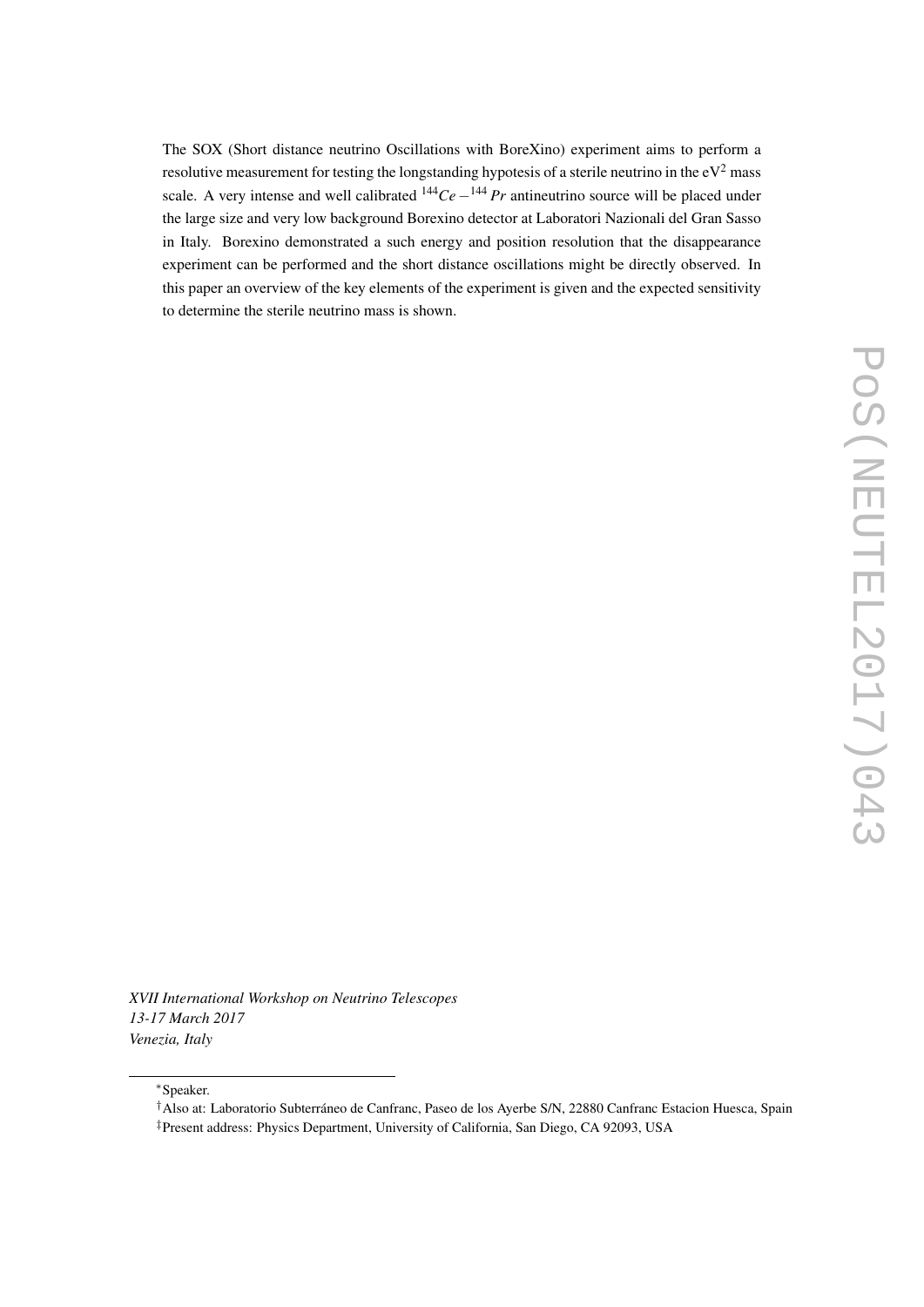The SOX (Short distance neutrino Oscillations with BoreXino) experiment aims to perform a resolutive measurement for testing the longstanding hypotesis of a sterile neutrino in the  $eV^2$  mass scale. A very intense and well calibrated <sup>144</sup>*Ce* −<sup>144</sup> *Pr* antineutrino source will be placed under the large size and very low background Borexino detector at Laboratori Nazionali del Gran Sasso in Italy. Borexino demonstrated a such energy and position resolution that the disappearance experiment can be performed and the short distance oscillations might be directly observed. In this paper an overview of the key elements of the experiment is given and the expected sensitivity to determine the sterile neutrino mass is shown.

*XVII International Workshop on Neutrino Telescopes 13-17 March 2017 Venezia, Italy*

<sup>∗</sup>Speaker.

<sup>†</sup>Also at: Laboratorio Subterráneo de Canfranc, Paseo de los Ayerbe S/N, 22880 Canfranc Estacion Huesca, Spain

<sup>‡</sup>Present address: Physics Department, University of California, San Diego, CA 92093, USA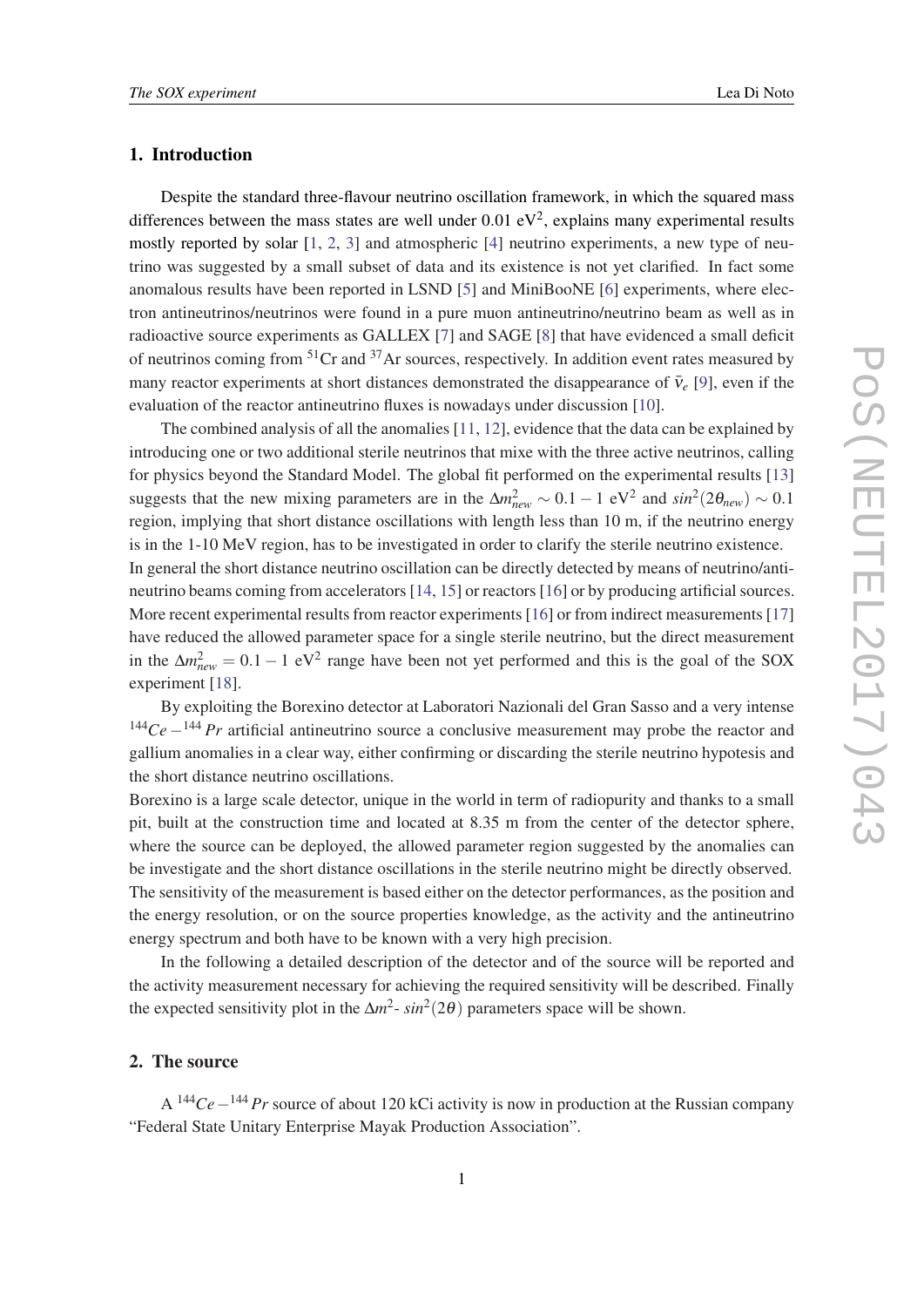# 1. Introduction

Despite the standard three-flavour neutrino oscillation framework, in which the squared mass differences between the mass states are well under  $0.01 \text{ eV}^2$ , explains many experimental results mostly reported by solar [\[1,](#page-8-0) [2,](#page-8-0) [3](#page-8-0)] and atmospheric [\[4\]](#page-8-0) neutrino experiments, a new type of neutrino was suggested by a small subset of data and its existence is not yet clarified. In fact some anomalous results have been reported in LSND [\[5\]](#page-8-0) and MiniBooNE [[6](#page-8-0)] experiments, where electron antineutrinos/neutrinos were found in a pure muon antineutrino/neutrino beam as well as in radioactive source experiments as GALLEX [[7](#page-8-0)] and SAGE [\[8\]](#page-8-0) that have evidenced a small deficit of neutrinos coming from  $51Cr$  and  $37Ar$  sources, respectively. In addition event rates measured by many reactor experiments at short distances demonstrated the disappearance of  $\bar{v}_e$  [[9](#page-8-0)], even if the evaluation of the reactor antineutrino fluxes is nowadays under discussion [\[10](#page-8-0)].

The combined analysis of all the anomalies [[11,](#page-8-0) [12\]](#page-8-0), evidence that the data can be explained by introducing one or two additional sterile neutrinos that mixe with the three active neutrinos, calling for physics beyond the Standard Model. The global fit performed on the experimental results [\[13](#page-9-0)] suggests that the new mixing parameters are in the  $\Delta m_{new}^2 \sim 0.1 - 1 \text{ eV}^2$  and  $sin^2(2\theta_{new}) \sim 0.1$ region, implying that short distance oscillations with length less than 10 m, if the neutrino energy is in the 1-10 MeV region, has to be investigated in order to clarify the sterile neutrino existence.

In general the short distance neutrino oscillation can be directly detected by means of neutrino/antineutrino beams coming from accelerators [[14](#page-9-0), [15](#page-9-0)] or reactors [\[16](#page-9-0)] or by producing artificial sources. More recent experimental results from reactor experiments [\[16](#page-9-0)] or from indirect measurements [\[17](#page-9-0)] have reduced the allowed parameter space for a single sterile neutrino, but the direct measurement in the  $\Delta m_{new}^2 = 0.1 - 1$  eV<sup>2</sup> range have been not yet performed and this is the goal of the SOX experiment [[18\]](#page-9-0).

By exploiting the Borexino detector at Laboratori Nazionali del Gran Sasso and a very intense <sup>144</sup>*Ce* −<sup>144</sup> *Pr* artificial antineutrino source a conclusive measurement may probe the reactor and gallium anomalies in a clear way, either confirming or discarding the sterile neutrino hypotesis and the short distance neutrino oscillations.

Borexino is a large scale detector, unique in the world in term of radiopurity and thanks to a small pit, built at the construction time and located at 8.35 m from the center of the detector sphere, where the source can be deployed, the allowed parameter region suggested by the anomalies can be investigate and the short distance oscillations in the sterile neutrino might be directly observed. The sensitivity of the measurement is based either on the detector performances, as the position and the energy resolution, or on the source properties knowledge, as the activity and the antineutrino energy spectrum and both have to be known with a very high precision.

In the following a detailed description of the detector and of the source will be reported and the activity measurement necessary for achieving the required sensitivity will be described. Finally the expected sensitivity plot in the  $\Delta m^2$ -  $sin^2(2\theta)$  parameters space will be shown.

# 2. The source

A <sup>144</sup>*Ce*−<sup>144</sup> *Pr* source of about 120 kCi activity is now in production at the Russian company "Federal State Unitary Enterprise Mayak Production Association".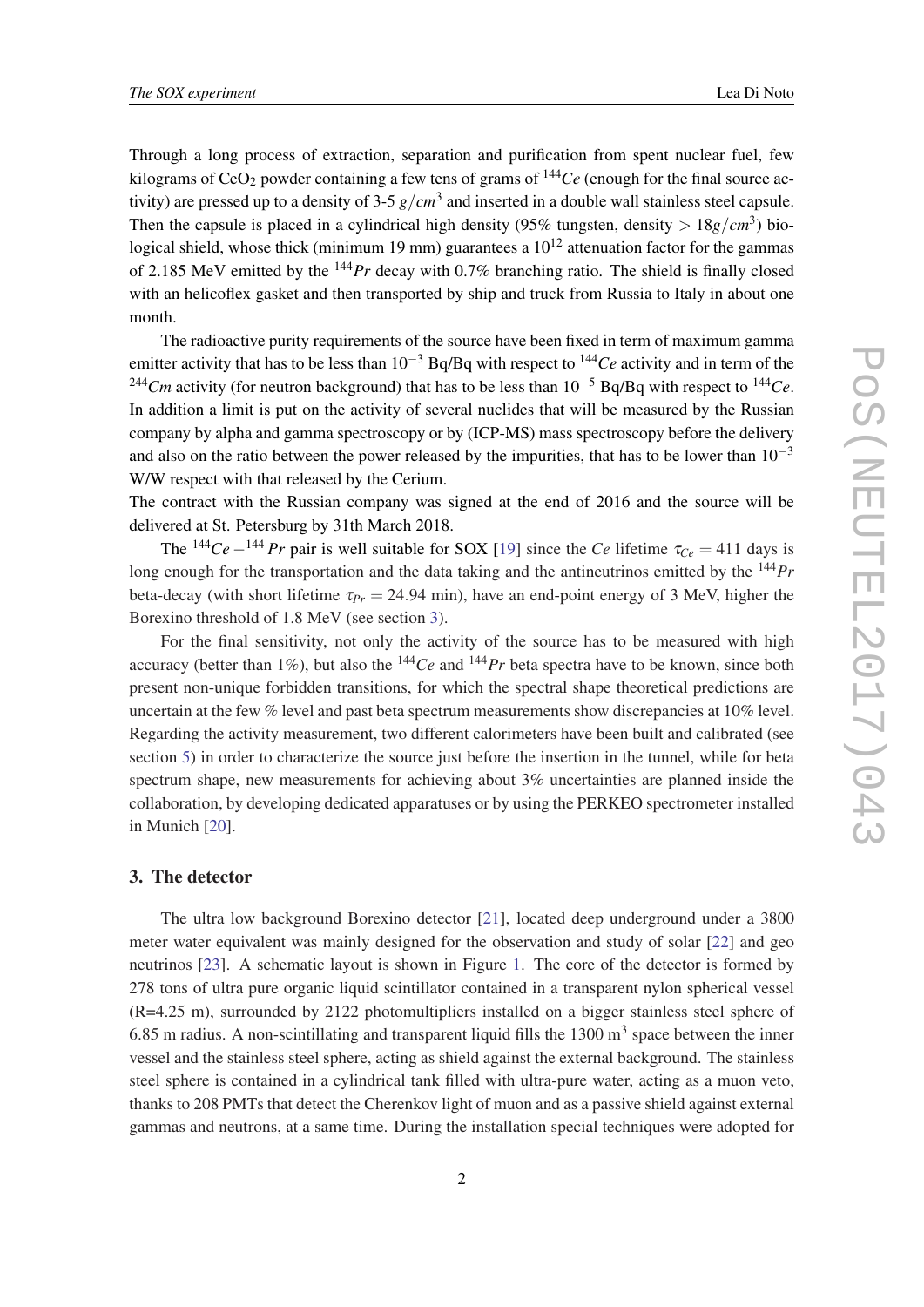Through a long process of extraction, separation and purification from spent nuclear fuel, few kilograms of  $CeO<sub>2</sub>$  powder containing a few tens of grams of  $144Ce$  (enough for the final source activity) are pressed up to a density of 3-5 *g*/*cm*<sup>3</sup> and inserted in a double wall stainless steel capsule. Then the capsule is placed in a cylindrical high density (95% tungsten, density  $> 18g/cm^3$ ) biological shield, whose thick (minimum 19 mm) guarantees a  $10^{12}$  attenuation factor for the gammas of 2.185 MeV emitted by the <sup>144</sup>*Pr* decay with 0.7% branching ratio. The shield is finally closed with an helicoflex gasket and then transported by ship and truck from Russia to Italy in about one month.

The radioactive purity requirements of the source have been fixed in term of maximum gamma emitter activity that has to be less than 10−<sup>3</sup> Bq/Bq with respect to <sup>144</sup>*Ce* activity and in term of the <sup>244</sup>*Cm* activity (for neutron background) that has to be less than 10−<sup>5</sup> Bq/Bq with respect to <sup>144</sup>*Ce*. In addition a limit is put on the activity of several nuclides that will be measured by the Russian company by alpha and gamma spectroscopy or by (ICP-MS) mass spectroscopy before the delivery and also on the ratio between the power released by the impurities, that has to be lower than  $10^{-3}$ W/W respect with that released by the Cerium.

The contract with the Russian company was signed at the end of 2016 and the source will be delivered at St. Petersburg by 31th March 2018.

The <sup>144</sup>Ce –<sup>144</sup> Pr pair is well suitable for SOX [\[19](#page-9-0)] since the *Ce* lifetime  $\tau_{Ce} = 411$  days is long enough for the transportation and the data taking and the antineutrinos emitted by the <sup>144</sup>*Pr* beta-decay (with short lifetime  $\tau_{Pr} = 24.94$  min), have an end-point energy of 3 MeV, higher the Borexino threshold of 1.8 MeV (see section 3).

For the final sensitivity, not only the activity of the source has to be measured with high accuracy (better than 1%), but also the  $^{144}Ce$  and  $^{144}Pr$  beta spectra have to be known, since both present non-unique forbidden transitions, for which the spectral shape theoretical predictions are uncertain at the few % level and past beta spectrum measurements show discrepancies at 10% level. Regarding the activity measurement, two different calorimeters have been built and calibrated (see section [5\)](#page-6-0) in order to characterize the source just before the insertion in the tunnel, while for beta spectrum shape, new measurements for achieving about 3% uncertainties are planned inside the collaboration, by developing dedicated apparatuses or by using the PERKEO spectrometer installed in Munich [[20\]](#page-9-0).

### 3. The detector

The ultra low background Borexino detector [\[21](#page-9-0)], located deep underground under a 3800 meter water equivalent was mainly designed for the observation and study of solar [[22\]](#page-9-0) and geo neutrinos [\[23](#page-9-0)]. A schematic layout is shown in Figure [1.](#page-5-0) The core of the detector is formed by 278 tons of ultra pure organic liquid scintillator contained in a transparent nylon spherical vessel (R=4.25 m), surrounded by 2122 photomultipliers installed on a bigger stainless steel sphere of 6.85 m radius. A non-scintillating and transparent liquid fills the  $1300 \text{ m}^3$  space between the inner vessel and the stainless steel sphere, acting as shield against the external background. The stainless steel sphere is contained in a cylindrical tank filled with ultra-pure water, acting as a muon veto, thanks to 208 PMTs that detect the Cherenkov light of muon and as a passive shield against external gammas and neutrons, at a same time. During the installation special techniques were adopted for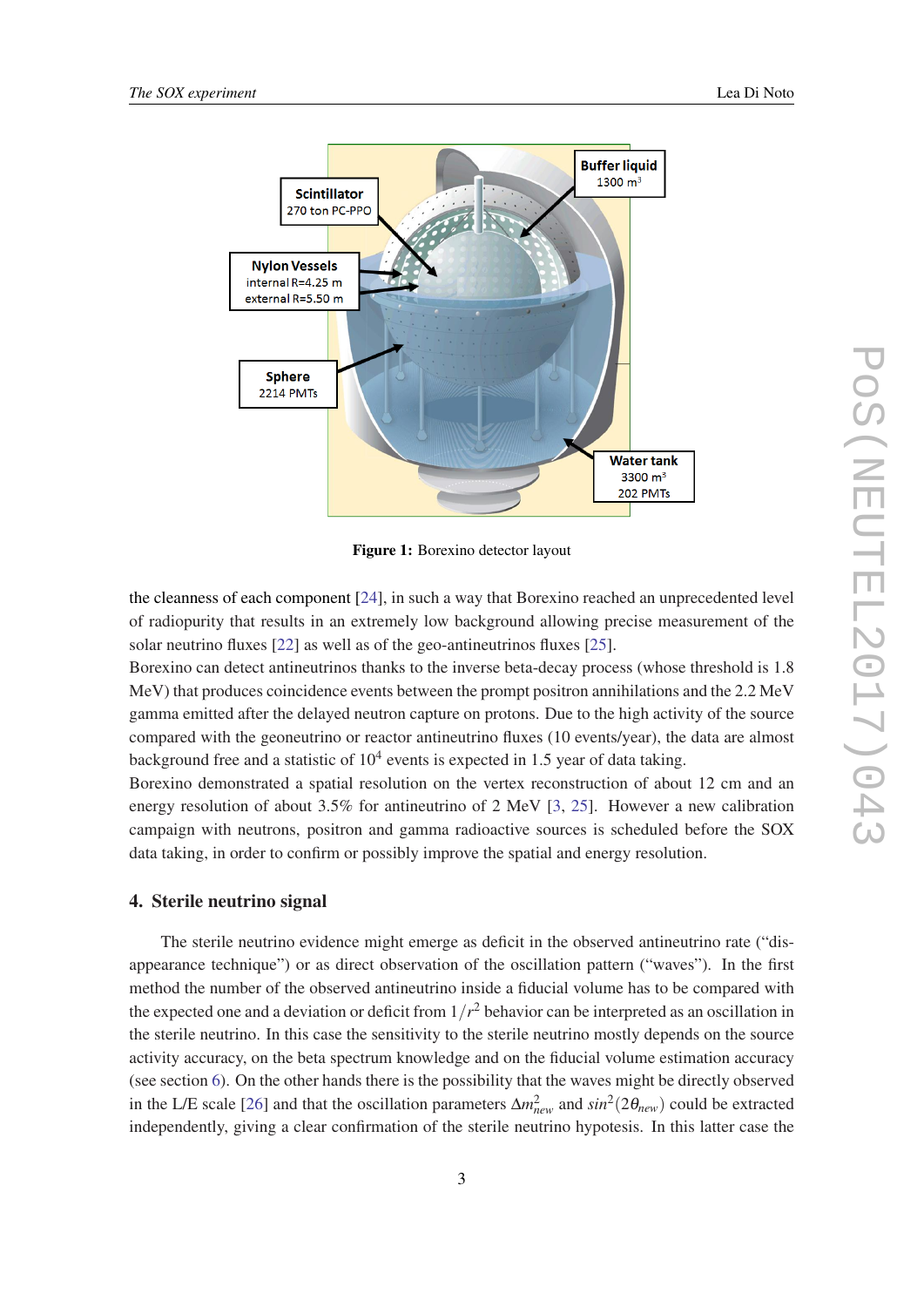<span id="page-5-0"></span>

Figure 1: Borexino detector layout

the cleanness of each component [\[24](#page-9-0)], in such a way that Borexino reached an unprecedented level of radiopurity that results in an extremely low background allowing precise measurement of the solar neutrino fluxes [[22\]](#page-9-0) as well as of the geo-antineutrinos fluxes [\[25](#page-9-0)].

Borexino can detect antineutrinos thanks to the inverse beta-decay process (whose threshold is 1.8 MeV) that produces coincidence events between the prompt positron annihilations and the 2.2 MeV gamma emitted after the delayed neutron capture on protons. Due to the high activity of the source compared with the geoneutrino or reactor antineutrino fluxes (10 events/year), the data are almost background free and a statistic of  $10^4$  events is expected in 1.5 year of data taking.

Borexino demonstrated a spatial resolution on the vertex reconstruction of about 12 cm and an energy resolution of about 3.5% for antineutrino of 2 MeV [\[3,](#page-8-0) [25](#page-9-0)]. However a new calibration campaign with neutrons, positron and gamma radioactive sources is scheduled before the SOX data taking, in order to confirm or possibly improve the spatial and energy resolution.

### 4. Sterile neutrino signal

The sterile neutrino evidence might emerge as deficit in the observed antineutrino rate ("disappearance technique") or as direct observation of the oscillation pattern ("waves"). In the first method the number of the observed antineutrino inside a fiducial volume has to be compared with the expected one and a deviation or deficit from 1/*r* <sup>2</sup> behavior can be interpreted as an oscillation in the sterile neutrino. In this case the sensitivity to the sterile neutrino mostly depends on the source activity accuracy, on the beta spectrum knowledge and on the fiducial volume estimation accuracy (see section [6\)](#page-7-0). On the other hands there is the possibility that the waves might be directly observed in the L/E scale [[26\]](#page-9-0) and that the oscillation parameters  $\Delta m_{new}^2$  and  $sin^2(2\theta_{new})$  could be extracted independently, giving a clear confirmation of the sterile neutrino hypotesis. In this latter case the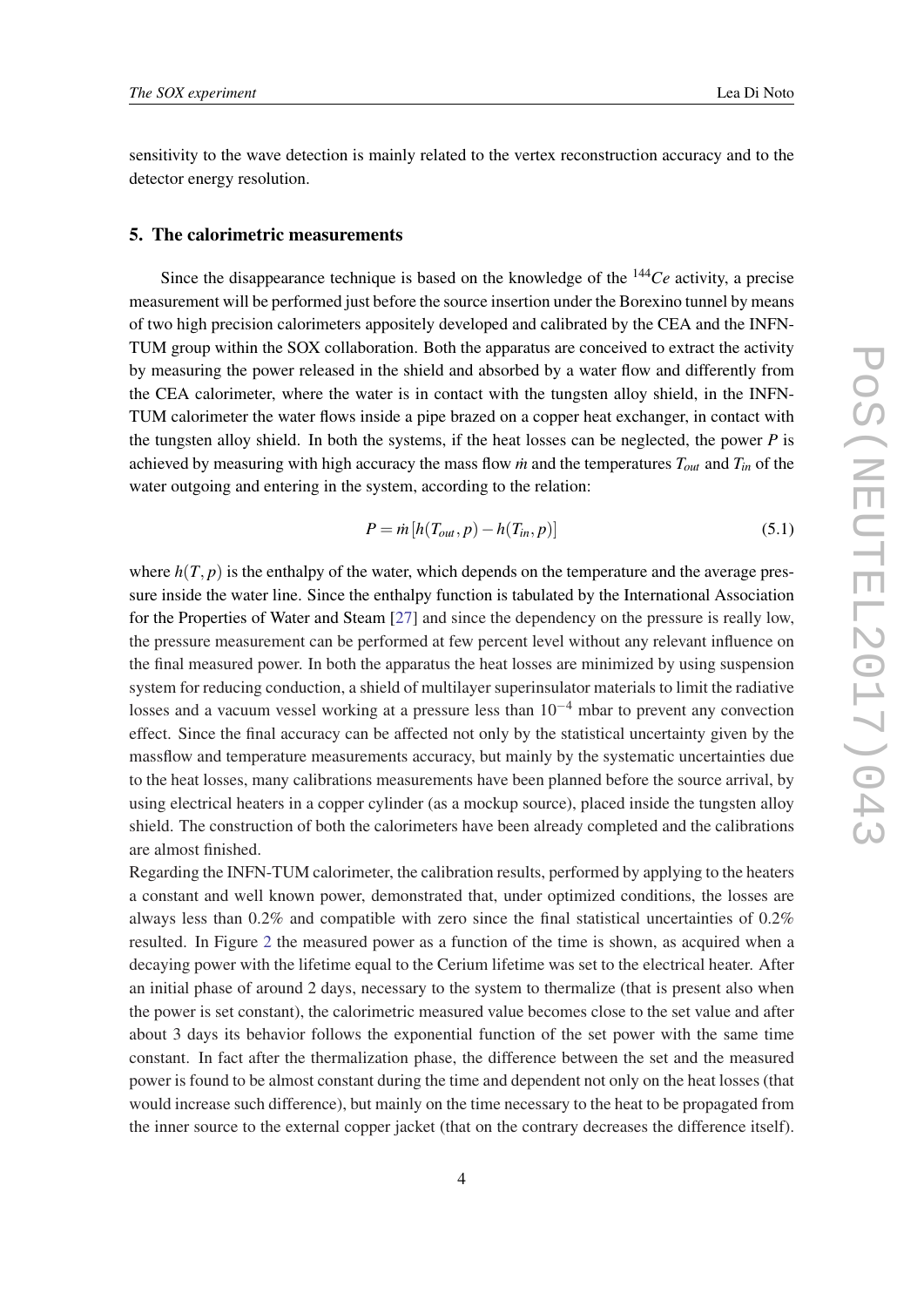<span id="page-6-0"></span>sensitivity to the wave detection is mainly related to the vertex reconstruction accuracy and to the detector energy resolution.

#### 5. The calorimetric measurements

Since the disappearance technique is based on the knowledge of the <sup>144</sup>*Ce* activity, a precise measurement will be performed just before the source insertion under the Borexino tunnel by means of two high precision calorimeters appositely developed and calibrated by the CEA and the INFN-TUM group within the SOX collaboration. Both the apparatus are conceived to extract the activity by measuring the power released in the shield and absorbed by a water flow and differently from the CEA calorimeter, where the water is in contact with the tungsten alloy shield, in the INFN-TUM calorimeter the water flows inside a pipe brazed on a copper heat exchanger, in contact with the tungsten alloy shield. In both the systems, if the heat losses can be neglected, the power *P* is achieved by measuring with high accuracy the mass flow *in* and the temperatures  $T_{out}$  and  $T_{in}$  of the water outgoing and entering in the system, according to the relation:

$$
P = \dot{m} \left[ h(T_{out}, p) - h(T_{in}, p) \right] \tag{5.1}
$$

where  $h(T, p)$  is the enthalpy of the water, which depends on the temperature and the average pressure inside the water line. Since the enthalpy function is tabulated by the International Association for the Properties of Water and Steam [[27\]](#page-9-0) and since the dependency on the pressure is really low, the pressure measurement can be performed at few percent level without any relevant influence on the final measured power. In both the apparatus the heat losses are minimized by using suspension system for reducing conduction, a shield of multilayer superinsulator materials to limit the radiative losses and a vacuum vessel working at a pressure less than  $10^{-4}$  mbar to prevent any convection effect. Since the final accuracy can be affected not only by the statistical uncertainty given by the massflow and temperature measurements accuracy, but mainly by the systematic uncertainties due to the heat losses, many calibrations measurements have been planned before the source arrival, by using electrical heaters in a copper cylinder (as a mockup source), placed inside the tungsten alloy shield. The construction of both the calorimeters have been already completed and the calibrations are almost finished.

Regarding the INFN-TUM calorimeter, the calibration results, performed by applying to the heaters a constant and well known power, demonstrated that, under optimized conditions, the losses are always less than 0.2% and compatible with zero since the final statistical uncertainties of 0.2% resulted. In Figure [2](#page-7-0) the measured power as a function of the time is shown, as acquired when a decaying power with the lifetime equal to the Cerium lifetime was set to the electrical heater. After an initial phase of around 2 days, necessary to the system to thermalize (that is present also when the power is set constant), the calorimetric measured value becomes close to the set value and after about 3 days its behavior follows the exponential function of the set power with the same time constant. In fact after the thermalization phase, the difference between the set and the measured power is found to be almost constant during the time and dependent not only on the heat losses (that would increase such difference), but mainly on the time necessary to the heat to be propagated from the inner source to the external copper jacket (that on the contrary decreases the difference itself).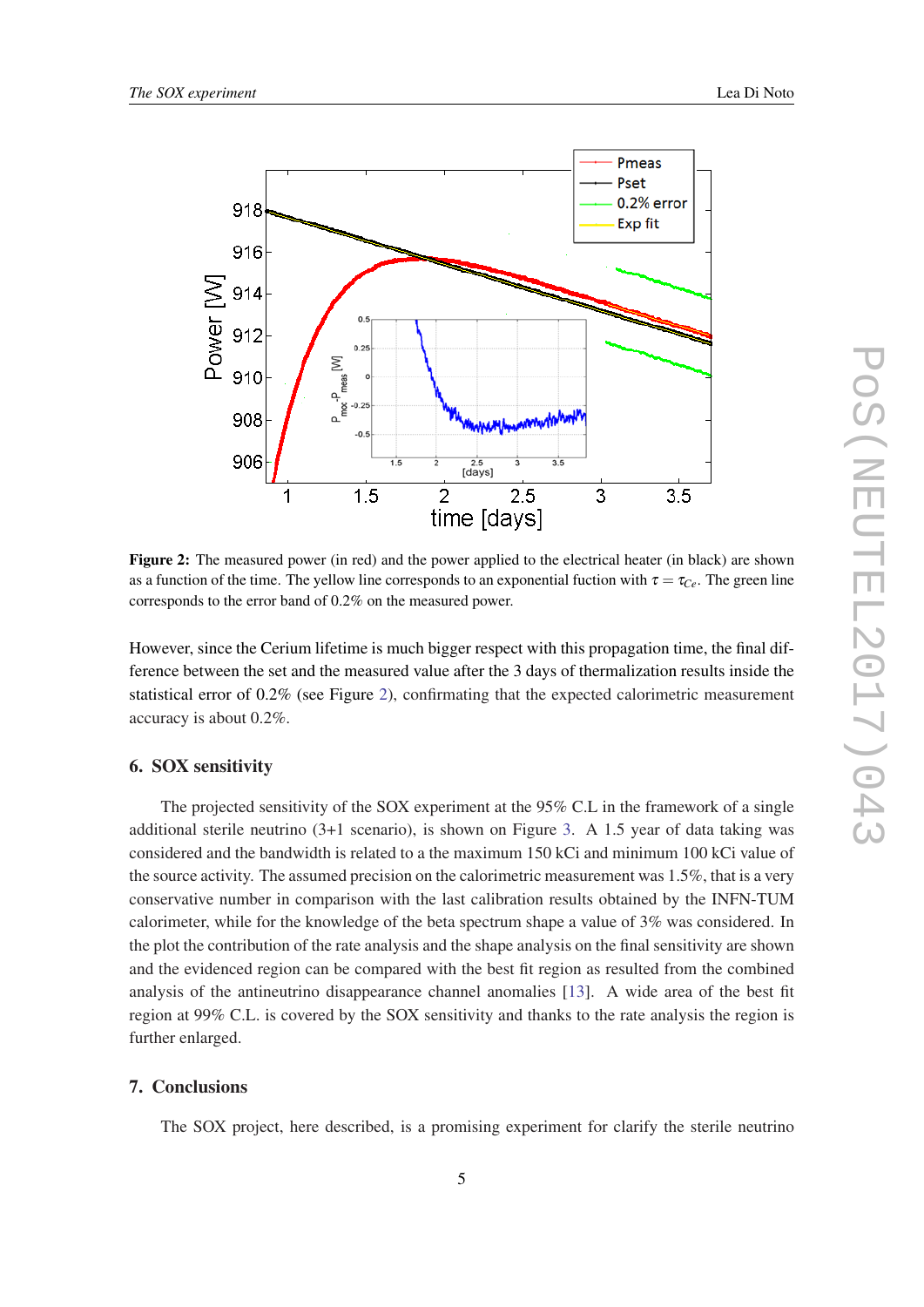<span id="page-7-0"></span>

Figure 2: The measured power (in red) and the power applied to the electrical heater (in black) are shown as a function of the time. The yellow line corresponds to an exponential fuction with  $\tau = \tau_{Ce}$ . The green line corresponds to the error band of 0.2% on the measured power.

However, since the Cerium lifetime is much bigger respect with this propagation time, the final difference between the set and the measured value after the 3 days of thermalization results inside the statistical error of 0.2% (see Figure 2), confirmating that the expected calorimetric measurement accuracy is about 0.2%.

#### 6. SOX sensitivity

The projected sensitivity of the SOX experiment at the 95% C.L in the framework of a single additional sterile neutrino (3+1 scenario), is shown on Figure [3](#page-8-0). A 1.5 year of data taking was considered and the bandwidth is related to a the maximum 150 kCi and minimum 100 kCi value of the source activity. The assumed precision on the calorimetric measurement was 1.5%, that is a very conservative number in comparison with the last calibration results obtained by the INFN-TUM calorimeter, while for the knowledge of the beta spectrum shape a value of 3% was considered. In the plot the contribution of the rate analysis and the shape analysis on the final sensitivity are shown and the evidenced region can be compared with the best fit region as resulted from the combined analysis of the antineutrino disappearance channel anomalies [\[13\]](#page-9-0). A wide area of the best fit region at 99% C.L. is covered by the SOX sensitivity and thanks to the rate analysis the region is further enlarged.

# 7. Conclusions

The SOX project, here described, is a promising experiment for clarify the sterile neutrino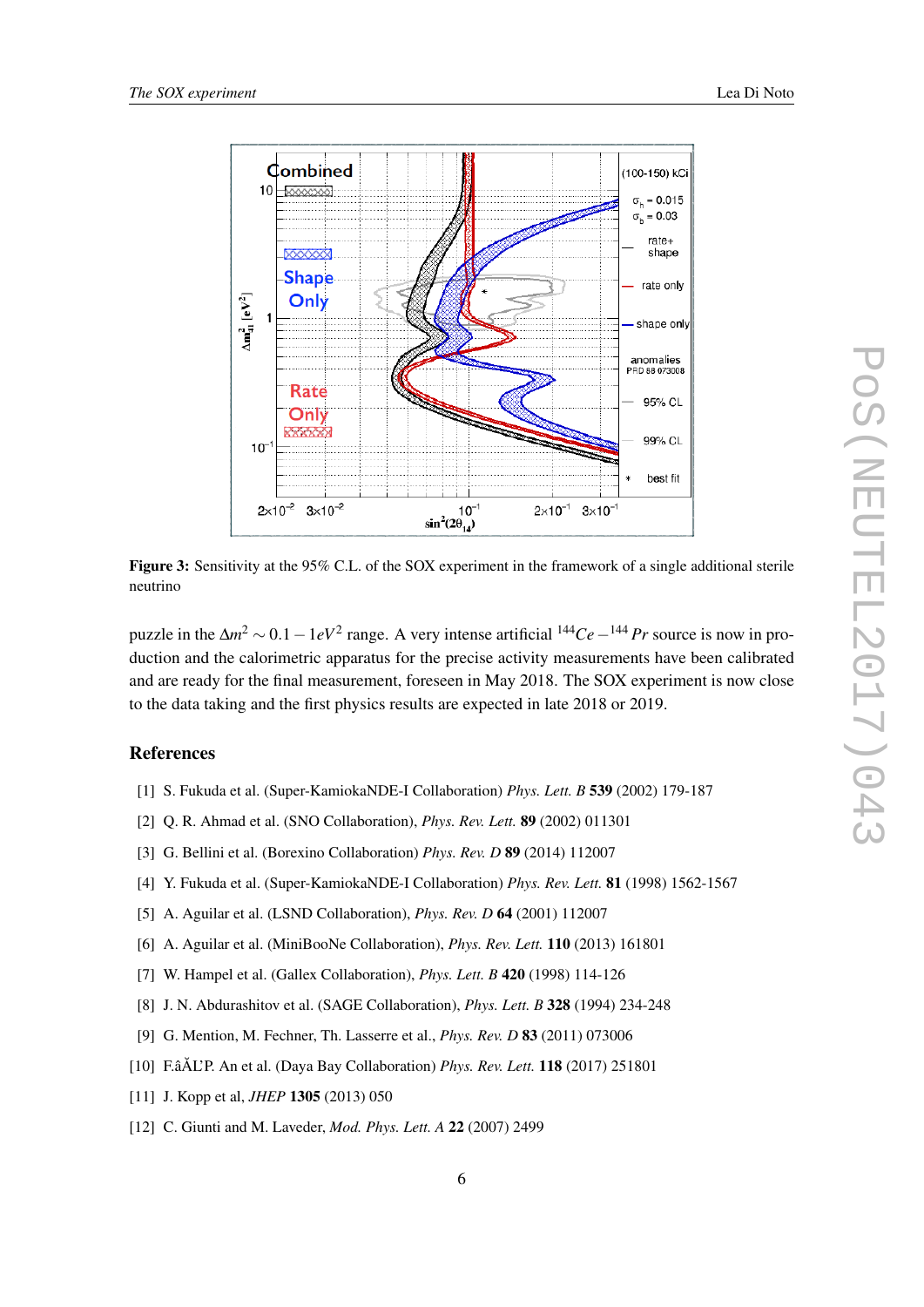<span id="page-8-0"></span>

Figure 3: Sensitivity at the 95% C.L. of the SOX experiment in the framework of a single additional sterile neutrino

puzzle in the ∆*m* <sup>2</sup> ∼ 0.1−1*eV*<sup>2</sup> range. A very intense artificial <sup>144</sup>*Ce*−<sup>144</sup> *Pr* source is now in production and the calorimetric apparatus for the precise activity measurements have been calibrated and are ready for the final measurement, foreseen in May 2018. The SOX experiment is now close to the data taking and the first physics results are expected in late 2018 or 2019.

# References

- [1] S. Fukuda et al. (Super-KamiokaNDE-I Collaboration) *Phys. Lett. B* 539 (2002) 179-187
- [2] Q. R. Ahmad et al. (SNO Collaboration), *Phys. Rev. Lett.* 89 (2002) 011301
- [3] G. Bellini et al. (Borexino Collaboration) *Phys. Rev. D* 89 (2014) 112007
- [4] Y. Fukuda et al. (Super-KamiokaNDE-I Collaboration) *Phys. Rev. Lett.* 81 (1998) 1562-1567
- [5] A. Aguilar et al. (LSND Collaboration), *Phys. Rev. D* 64 (2001) 112007
- [6] A. Aguilar et al. (MiniBooNe Collaboration), *Phys. Rev. Lett.* 110 (2013) 161801
- [7] W. Hampel et al. (Gallex Collaboration), *Phys. Lett. B* 420 (1998) 114-126
- [8] J. N. Abdurashitov et al. (SAGE Collaboration), *Phys. Lett. B* 328 (1994) 234-248
- [9] G. Mention, M. Fechner, Th. Lasserre et al., *Phys. Rev. D* 83 (2011) 073006
- [10] F.âÅL'P. An et al. (Daya Bay Collaboration) Phys. Rev. Lett. **118** (2017) 251801
- [11] J. Kopp et al, *JHEP* 1305 (2013) 050
- [12] C. Giunti and M. Laveder, *Mod. Phys. Lett. A* 22 (2007) 2499

PoS(NEUTEL2017)043

POS(NEUTEL2017)043